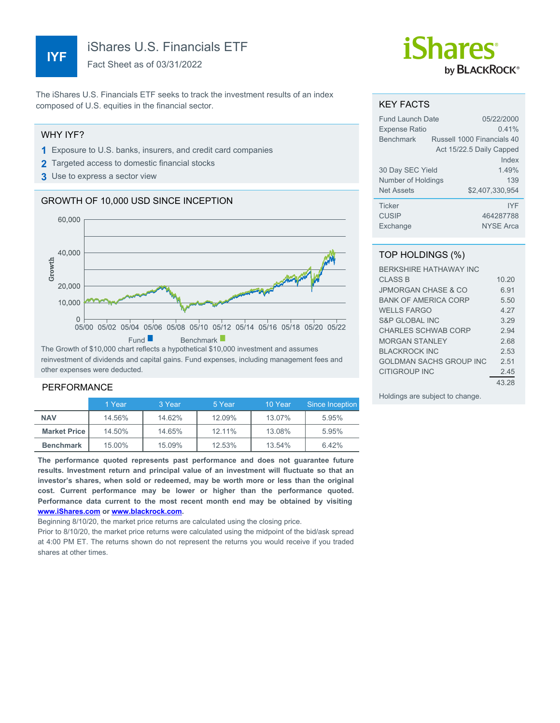# **IYF**

iShares U.S. Financials ETF

Fact Sheet as of 03/31/2022

The iShares U.S. Financials ETF seeks to track the investment results of an index composed of U.S. equities in the financial sector.

#### WHY IYF?

- **1** Exposure to U.S. banks, insurers, and credit card companies
- **2** Targeted access to domestic financial stocks
- **3** Use to express a sector view

#### GROWTH OF 10,000 USD SINCE INCEPTION



reinvestment of dividends and capital gains. Fund expenses, including management fees and other expenses were deducted.

#### PERFORMANCE

|                     | 1 Year | 3 Year | 5 Year | 10 Year | Since Inception |
|---------------------|--------|--------|--------|---------|-----------------|
| <b>NAV</b>          | 14.56% | 14.62% | 12.09% | 13.07%  | 5.95%           |
| <b>Market Price</b> | 14.50% | 14.65% | 12.11% | 13.08%  | 5.95%           |
| <b>Benchmark</b>    | 15.00% | 15.09% | 12.53% | 13.54%  | 6.42%           |

**The performance quoted represents past performance and does not guarantee future results. Investment return and principal value of an investment will fluctuate so that an investor's shares, when sold or redeemed, may be worth more or less than the original cost. Current performance may be lower or higher than the performance quoted. Performance data current to the most recent month end may be obtained by visiting [www.iShares.com](http://www.iShares.com) or [www.blackrock.com](http://www.blackrock.com).**

Beginning 8/10/20, the market price returns are calculated using the closing price.

Prior to 8/10/20, the market price returns were calculated using the midpoint of the bid/ask spread at 4:00 PM ET. The returns shown do not represent the returns you would receive if you traded shares at other times.

# *iShares* by **BLACKROCK**®

#### KEY FACTS

| Fund Launch Date     |  | 05/22/2000                 |
|----------------------|--|----------------------------|
| <b>Expense Ratio</b> |  | 0.41%                      |
| <b>Benchmark</b>     |  | Russell 1000 Financials 40 |
|                      |  | Act 15/22.5 Daily Capped   |
|                      |  | Index                      |
| 30 Day SEC Yield     |  | 1 49%                      |
| Number of Holdings   |  | 139                        |
| <b>Net Assets</b>    |  | \$2,407,330,954            |
| <b>Ticker</b>        |  | <b>IYF</b>                 |
| <b>CUSIP</b>         |  | 464287788                  |
| Exchange             |  | <b>NYSE Arca</b>           |

### TOP HOLDINGS (%)

| <b>BERKSHIRE HATHAWAY INC</b>  |       |
|--------------------------------|-------|
| <b>CLASS B</b>                 | 10.20 |
| <b>JPMORGAN CHASE &amp; CO</b> | 6.91  |
| <b>BANK OF AMERICA CORP</b>    | 5.50  |
| <b>WELLS FARGO</b>             | 4 27  |
| S&P GLOBAL INC                 | 3.29  |
| CHARLES SCHWAB CORP            | 2.94  |
| <b>MORGAN STANLEY</b>          | 2.68  |
| <b>BLACKROCK INC</b>           | 2.53  |
| GOI DMAN SACHS GROUP INC       | 2.51  |
| CITIGROUP INC                  | 2.45  |
|                                | 43.28 |

Holdings are subject to change.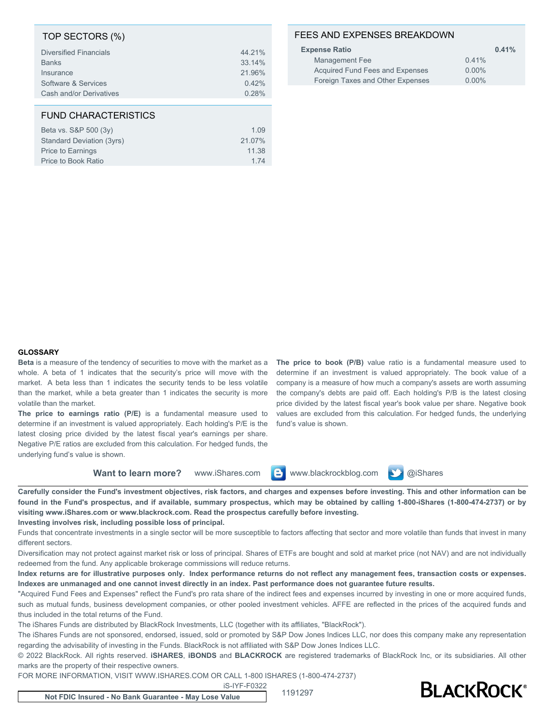#### TOP SECTORS (%)

| <b>Diversified Financials</b> | 44.21% |
|-------------------------------|--------|
| <b>Banks</b>                  | 33.14% |
| Insurance                     | 21.96% |
| Software & Services           | 0.42%  |
| Cash and/or Derivatives       | 0.28%  |
|                               |        |

#### FUND CHARACTERISTICS

| Beta vs. S&P 500 (3y)     | 1.09   |
|---------------------------|--------|
| Standard Deviation (3yrs) | 21.07% |
| Price to Earnings         | 11.38  |
| Price to Book Ratio       | 1 74   |

## FEES AND EXPENSES BREAKDOWN

| <b>Expense Ratio</b>             | 0.41%    |
|----------------------------------|----------|
| Management Fee                   | 0.41%    |
| Acquired Fund Fees and Expenses  | $0.00\%$ |
| Foreign Taxes and Other Expenses | $0.00\%$ |
|                                  |          |

#### **GLOSSARY**

**Beta** is a measure of the tendency of securities to move with the market as a whole. A beta of 1 indicates that the security's price will move with the market. A beta less than 1 indicates the security tends to be less volatile than the market, while a beta greater than 1 indicates the security is more volatile than the market.

**The price to earnings ratio (P/E)** is a fundamental measure used to determine if an investment is valued appropriately. Each holding's P/E is the latest closing price divided by the latest fiscal year's earnings per share. Negative P/E ratios are excluded from this calculation. For hedged funds, the underlying fund's value is shown.

**The price to book (P/B)** value ratio is a fundamental measure used to determine if an investment is valued appropriately. The book value of a company is a measure of how much a company's assets are worth assuming the company's debts are paid off. Each holding's P/B is the latest closing price divided by the latest fiscal year's book value per share. Negative book values are excluded from this calculation. For hedged funds, the underlying fund's value is shown.

**Want to learn more?** www.iShares.com **C** www.blackrockblog.com **N** @iShares



**Carefully consider the Fund's investment objectives, risk factors, and charges and expenses before investing. This and other information can be found in the Fund's prospectus, and if available, summary prospectus, which may be obtained by calling 1-800-iShares (1-800-474-2737) or by visiting www.iShares.com or www.blackrock.com. Read the prospectus carefully before investing.**

**Investing involves risk, including possible loss of principal.**

Funds that concentrate investments in a single sector will be more susceptible to factors affecting that sector and more volatile than funds that invest in many different sectors.

Diversification may not protect against market risk or loss of principal. Shares of ETFs are bought and sold at market price (not NAV) and are not individually redeemed from the fund. Any applicable brokerage commissions will reduce returns.

**Index returns are for illustrative purposes only. Index performance returns do not reflect any management fees, transaction costs or expenses. Indexes are unmanaged and one cannot invest directly in an index. Past performance does not guarantee future results.**

"Acquired Fund Fees and Expenses" reflect the Fund's pro rata share of the indirect fees and expenses incurred by investing in one or more acquired funds, such as mutual funds, business development companies, or other pooled investment vehicles. AFFE are reflected in the prices of the acquired funds and thus included in the total returns of the Fund.

The iShares Funds are distributed by BlackRock Investments, LLC (together with its affiliates, "BlackRock").

The iShares Funds are not sponsored, endorsed, issued, sold or promoted by S&P Dow Jones Indices LLC, nor does this company make any representation regarding the advisability of investing in the Funds. BlackRock is not affiliated with S&P Dow Jones Indices LLC.

© 2022 BlackRock. All rights reserved. **iSHARES**, **iBONDS** and **BLACKROCK** are registered trademarks of BlackRock Inc, or its subsidiaries. All other marks are the property of their respective owners.

FOR MORE INFORMATION, VISIT WWW.ISHARES.COM OR CALL 1-800 ISHARES (1-800-474-2737)

iS-IYF-F0322



**Not FDIC Insured - No Bank Guarantee - May Lose Value** 1191297